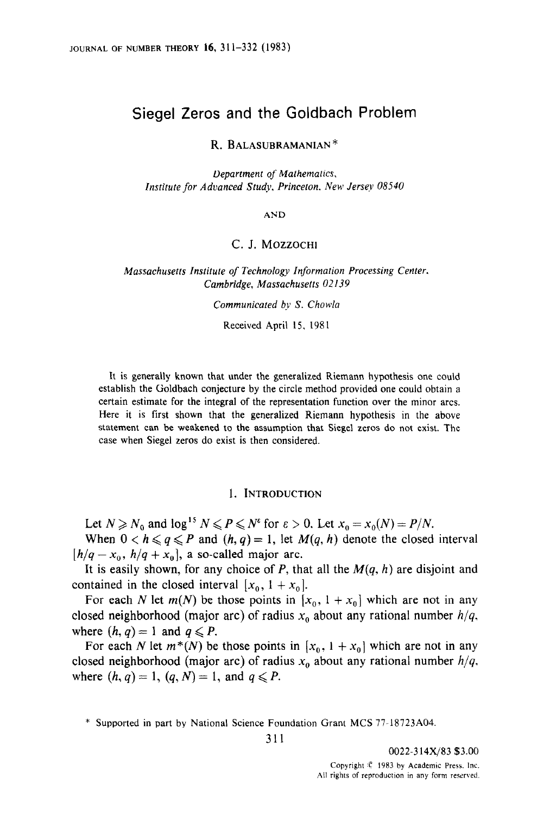# Siegel Zeros and the Goldbach Problem

R. BALASUBRAMANIAN\*

Department of Mathematics, Institute for Advanced Study, Princeton. New Jersey 08540

AND

# C. J. MOZZOCHI

Massachusetts Institute of Technology Information Processing Center. Cambridge, Massachusetts 02139

Communicated by S. Chowla

Received April 15, 1981

It is generally known that under the generalized Riemann hypothesis one could establish the Goldbach conjecture by the circle method provided one could obtain a certain estimate for the integral of the representation function over the minor arcs. Here it is first shown that the generalized Riemann hypothesis in the above statement can be weakened to the assumption that Siegel zeros do not exist. The case when Siegel zeros do exist is then considered.

#### 1. INTRODUCTION

Let  $N \ge N_0$  and  $\log^{15} N \le P \le N^{\epsilon}$  for  $\epsilon > 0$ . Let  $x_0 = x_0(N) = P/N$ . When  $0 < h \leq q \leq P$  and  $(h, q) = 1$ , let  $M(q, h)$  denote the closed interval

 $[h/q - x_0, h/q + x_0]$ , a so-called major arc.

It is easily shown, for any choice of P, that all the  $M(q, h)$  are disjoint and contained in the closed interval  $[x_0, 1 + x_0]$ .

For each N let  $m(N)$  be those points in  $[x_0, 1 + x_0]$  which are not in any closed neighborhood (major arc) of radius  $x_0$  about any rational number  $h/q$ , where  $(h, q) = 1$  and  $q \leq P$ .

For each N let  $m^*(N)$  be those points in  $[x_0, 1 + x_0]$  which are not in any closed neighborhood (major arc) of radius  $x_0$  about any rational number  $h/q$ , where  $(h, q) = 1$ ,  $(q, N) = 1$ , and  $q \leq P$ .

<sup>\*</sup> Supported in part by National Science Foundation Grant MCS 77.18723A04.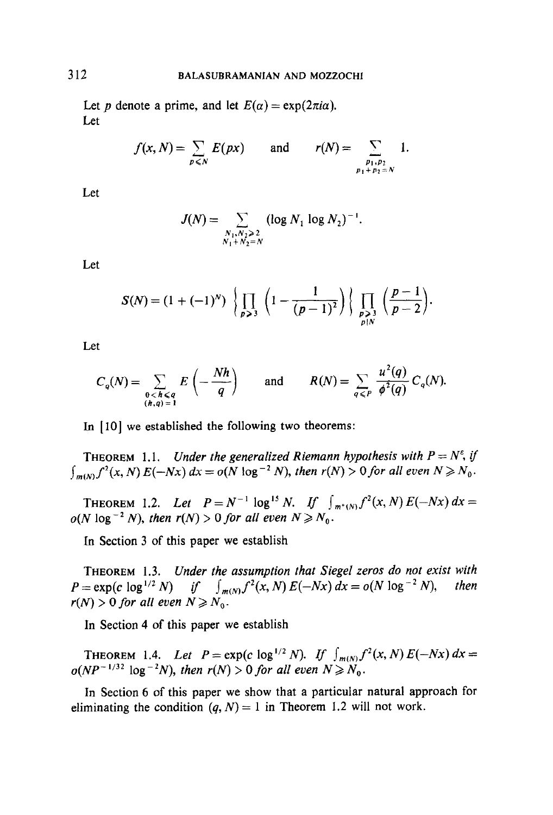Let p denote a prime, and let  $E(\alpha) = \exp(2\pi i \alpha)$ . Let

$$
f(x, N) = \sum_{p \leq N} E(px) \quad \text{and} \quad r(N) = \sum_{\substack{p_1, p_2 \ p_1 + p_2 = N}} 1.
$$

Let

$$
J(N) = \sum_{\substack{N_1, N_2 > 2\\N_1 + N_2 = N}} (\log N_1 \log N_2)^{-1}.
$$

Let

$$
S(N) = (1 + (-1)^N) \left\{ \prod_{p \geq 3} \left( 1 - \frac{1}{(p-1)^2} \right) \right\} \prod_{\substack{p > 3 \\ p \mid N}} \left( \frac{p-1}{p-2} \right).
$$

Let

$$
C_q(N) = \sum_{\substack{0 < h < q \\ (h,q) = 1}} E\left(-\frac{Nh}{q}\right) \quad \text{and} \quad R(N) = \sum_{q \leq P} \frac{u^2(q)}{\phi^2(q)} C_q(N).
$$

In [IO] we established the following two theorems:

THEOREM 1.1. Under the generalized Riemann hypothesis with  $P = N^{\epsilon}$ , if  $\int_{m(N)} f^2(x, N) E(-Nx) dx = o(N \log^{-2} N)$ , then  $r(N) > 0$  for all even  $N \ge N_0$ .

THEOREM 1.2. Let  $P = N^{-1} \log^{15} N$ . If  $\int_{m^*(N)} f^2(x, N) E(-Nx) dx =$  $o(N \log^{-2} N)$ , then  $r(N) > 0$  for all even  $N \ge N_0$ .

In Section 3 of this paper we establish

THEOREM 1.3. Under the assumption that Siegel zeros do not exist with  $P = \exp(c \log^{1/2} N)$  if  $\int_{m(N)} f^2(x, N) E(-Nx) dx = o(N \log^{-2} N)$ , then  $r(N) > 0$  for all even  $N \ge N_0$ .

In Section 4 of this paper we establish

THEOREM 1.4. Let  $P = \exp(c \log^{1/2} N)$ . If  $\int_{m(N)} f^2(x, N) E(-Nx) dx =$  $o(NP^{-1/32} \log^{-2} N)$ , then  $r(N) > 0$  for all even  $N \ge N_0$ .

In Section 6 of this paper we show that a particular natural approach for eliminating the condition  $(q, N) = 1$  in Theorem 1.2 will not work.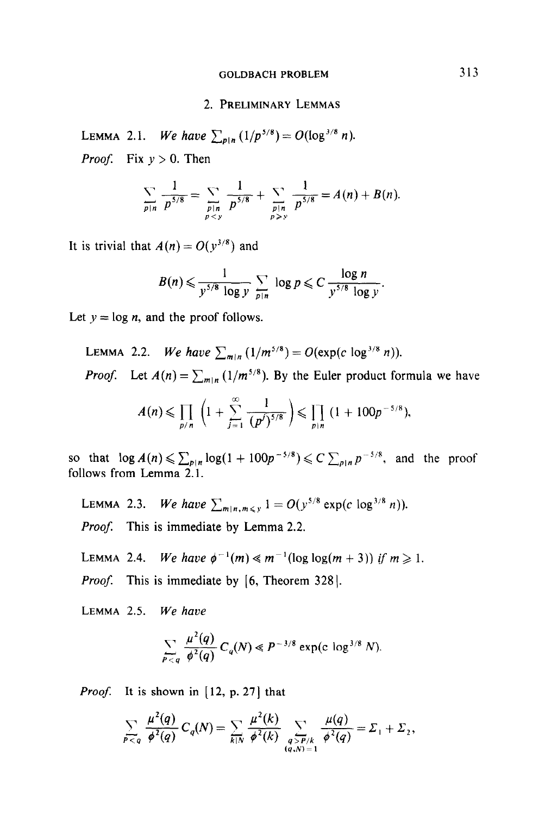### GOLDBACH PROBLEM 313

#### 2. PRELIMINARY LEMMAS

LEMMA 2.1. We have  $\sum_{p|n} (1/p^{5/8}) = O(\log^{3/8} n)$ . *Proof.* Fix  $y > 0$ . Then

$$
\sum_{p|n} \frac{1}{p^{5/8}} = \sum_{\substack{p|n \\ py}} \frac{1}{p^{5/8}} = A(n) + B(n).
$$

It is trivial that  $A(n) = O(y^{3/8})$  and

$$
B(n) \leqslant \frac{1}{y^{5/8} \log y} \sum_{p|n} \log p \leqslant C \frac{\log n}{y^{5/8} \log y}.
$$

Let  $y = \log n$ , and the proof follows.

LEMMA 2.2. We have 
$$
\sum_{m|n} (1/m^{5/8}) = O(\exp(c \log^{3/8} n)).
$$

*Proof.* Let  $A(n) = \sum_{m|n} (1/m^{5/8})$ . By the Euler product formula we have

$$
A(n) \leq \prod_{p/n} \left(1 + \sum_{j=1}^{\infty} \frac{1}{(p^j)^{5/8}}\right) \leq \prod_{p|n} (1 + 100p^{-5/8}),
$$

so that  $\log A(n) \leq \sum_{p|n} \log(1 + 100p^{-5/8}) \leq C \sum_{p|n} p^{-5/8}$ , and the proof follows from Lemma 2.1.

LEMMA 2.3. We have  $\sum_{m|n,m\leq y} 1 = O(y^{5/8} \exp(c \log^{3/8} n)).$ Proof. This is immediate by Lemma 2.2.

LEMMA 2.4. We have  $\phi^{-1}(m) \ll m^{-1}(\log \log(m+3))$  if  $m \ge 1$ .

*Proof.* This is immediate by  $[6,$  Theorem 328].

LEMMA 2.5. We have

$$
\sum_{P < q} \frac{\mu^2(q)}{\phi^2(q)} C_q(N) \ll P^{-3/8} \exp(c \log^{3/8} N).
$$

*Proof.* It is shown in  $[12, p. 27]$  that

$$
\sum_{P < q} \frac{\mu^2(q)}{\phi^2(q)} C_q(N) = \sum_{k \mid N} \frac{\mu^2(k)}{\phi^2(k)} \sum_{\substack{q > P/k \\ (q,N)=1}} \frac{\mu(q)}{\phi^2(q)} = \Sigma_1 + \Sigma_2,
$$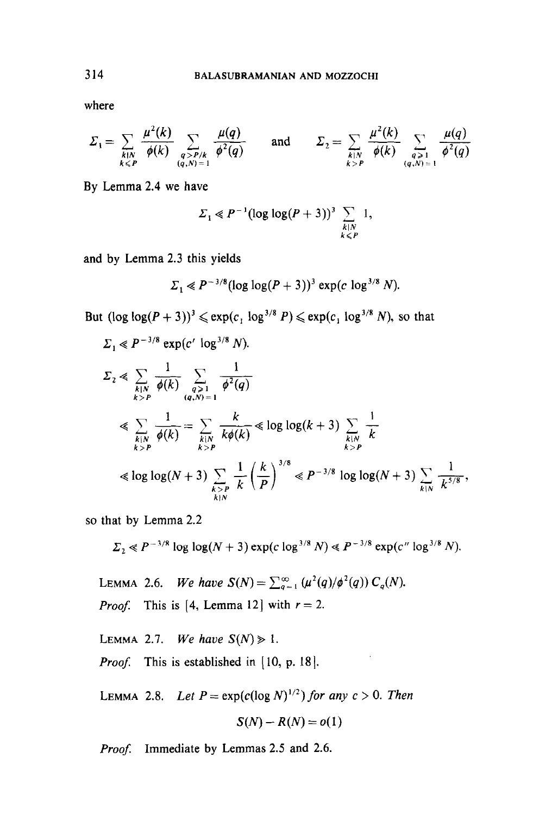where

$$
\Sigma_1 = \sum_{\substack{k \mid N \\ k \leq P}} \frac{\mu^2(k)}{\phi(k)} \sum_{\substack{q > P/k \\ (q, N) = 1}} \frac{\mu(q)}{\phi^2(q)} \quad \text{and} \quad \Sigma_2 = \sum_{\substack{k \mid N \\ k > P}} \frac{\mu^2(k)}{\phi(k)} \sum_{\substack{q > 1 \\ (q, N) = 1}} \frac{\mu(q)}{\phi^2(q)}
$$

By Lemma 2.4 we have

$$
\Sigma_1 \ll P^{-1}(\log \log(P+3))^3 \sum_{\substack{k|N\\k\leq P}} 1,
$$

and by Lemma 2.3 this yields

$$
\Sigma_1 \ll P^{-3/8} (\log \log (P + 3))^3 \exp(c \log^{3/8} N).
$$

But  $(\log \log(P + 3))^3 \le \exp(c_1 \log^{3/8} P) \le \exp(c_1 \log^{3/8} N)$ , so that

$$
\Sigma_{1} \ll P^{-3/8} \exp(c' \log^{3/8} N).
$$
\n
$$
\Sigma_{2} \ll \sum_{\substack{k|N \ k>P}} \frac{1}{\phi(k)} \sum_{\substack{q>1 \ (q,N)=1}} \frac{1}{\phi^{2}(q)}
$$
\n
$$
\ll \sum_{\substack{k|N \ k>P}} \frac{1}{\phi(k)} = \sum_{\substack{k|N \ k>P}} \frac{k}{k\phi(k)} \ll \log \log(k+3) \sum_{\substack{k|N \ k>P}} \frac{1}{k}
$$
\n
$$
\ll \log \log(N+3) \sum_{\substack{k|N \ k>P}} \frac{1}{k} \left(\frac{k}{P}\right)^{3/8} \ll P^{-3/8} \log \log(N+3) \sum_{\substack{k|N \ k>P}} \frac{1}{k^{5/8}},
$$

so that by Lemma 2.2

 $\Sigma_2 \ll P^{-3/8} \log \log(N+3) \exp(c \log^{3/8} N) \ll P^{-3/8} \exp(c'' \log^{3/8} N).$ 

LEMMA 2.6. We have  $S(N) = \sum_{q=1}^{\infty} (\mu^2(q)/\phi^2(q)) C_q(N)$ . *Proof.* This is [4, Lemma 12] with  $r = 2$ .

LEMMA 2.7. We have  $S(N) \geq 1$ . Proof This is established in [ 10, p. 181.

LEMMA 2.8. Let  $P = \exp(c(\log N)^{1/2})$  for any  $c > 0$ . Then

$$
S(N) - R(N) = o(1)
$$

S(N)-R(N)=o(l)

ProojI Immediate by Lemmas 2.5 and 2.6. Proof. Immediate by Lemmas 2.5 and 2.6.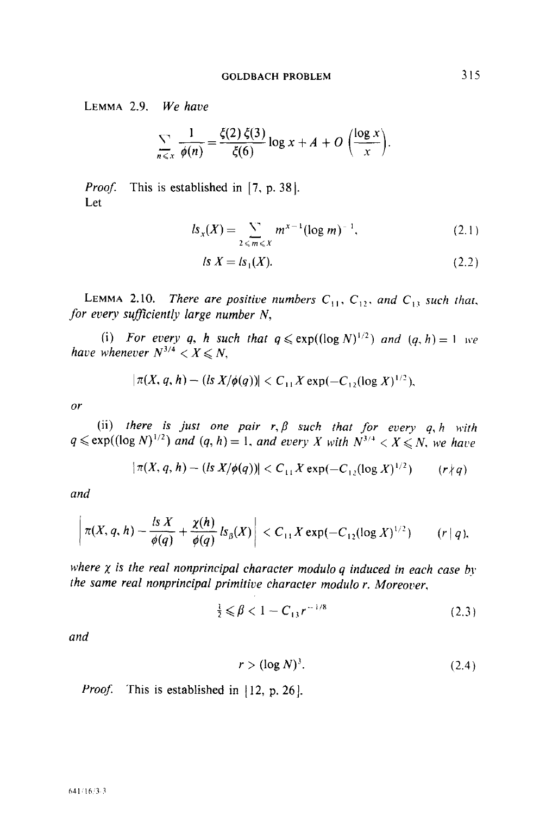LEMMA 2.9. We have

$$
\sum_{n\leqslant x}\frac{1}{\phi(n)}=\frac{\xi(2)\,\xi(3)}{\xi(6)}\log x+A+O\left(\frac{\log x}{x}\right).
$$

Proof. This is established in [7, p. 38]. Let

$$
ls_x(X) = \sum_{2 \le m \le X} m^{x-1} (\log m)^{-1}, \tag{2.1}
$$

$$
l s X = l s_1(X). \tag{2.2}
$$

LEMMA 2.10. There are positive numbers  $C_{11}$ ,  $C_{12}$ , and  $C_{13}$  such that, for every sufficiently large number  $N$ ,

(i) For every q, h such that  $q \leq \exp((\log N)^{1/2})$  and  $(q, h) = 1$  we have whenever  $N^{3/4} < X \le N$ ,

$$
|\pi(X, q, h) - (ls X/\phi(q))| < C_{11} X \exp(-C_{12} (\log X)^{1/2}),
$$

or

(ii) there is just one pair  $r, \beta$  such that for every q, h with  $q \leq \exp((\log N)^{1/2})$  and  $(q, h) = 1$ , and every X with  $N^{3/4} < X < N$  we have

$$
|\pi(X, q, h) - (|S X/\phi(q))| < C_{11} X \exp(-C_{12} (\log X)^{1/2}) \quad (r \nmid q)
$$

and

$$
\left|\pi(X, q, h)-\frac{lsX}{\phi(q)}+\frac{\chi(h)}{\phi(q)}\,ls_{\beta}(X)\right|< C_{11}X\exp(-C_{12}(\log X)^{1/2})\qquad (r\,|\,q),
$$

where  $\chi$  is the real nonprincipal character modulo q induced in each case by the same real nonprincipal primitive character modulo r. Moreover,

$$
\frac{1}{2} \leq \beta < 1 - C_{13} r^{-1/8} \tag{2.3}
$$

and

$$
r > (\log N)^3. \tag{2.4}
$$

*Proof.* This is established in  $| 12$ , p. 26 $|$ .

#### 641/16/3-3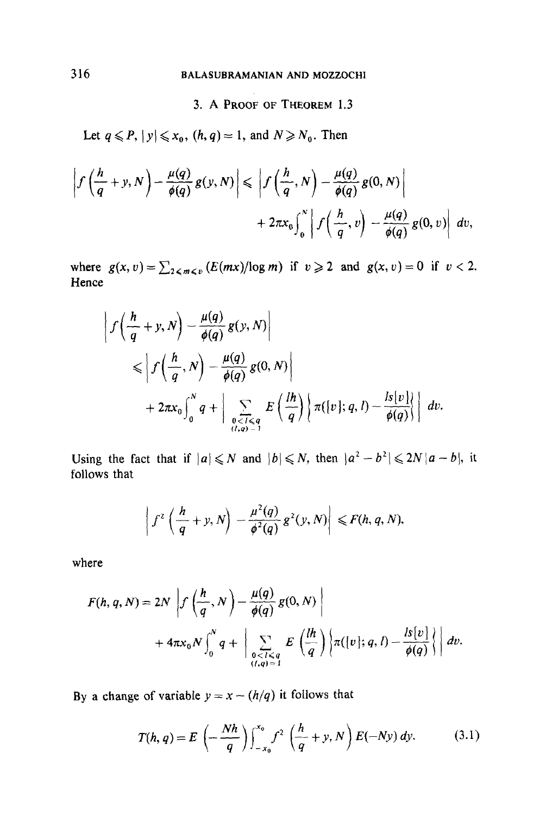# 3. A PROOF OF THEOREM 1.3

Let  $q \leq P$ ,  $|y| \leq x_0$ ,  $(h, q) = 1$ , and  $N \geq N_0$ . Then

$$
\left|f\left(\frac{h}{q}+y,N\right)-\frac{\mu(q)}{\phi(q)}g(y,N)\right|\leq \left|f\left(\frac{h}{q},N\right)-\frac{\mu(q)}{\phi(q)}g(0,N)\right|\\+2\pi x_0\int_0^N\left|f\left(\frac{h}{q},v\right)-\frac{\mu(q)}{\phi(q)}g(0,v)\right|\,dv,
$$

where  $g(x, v) = \sum_{z \le m \le v} (E(mx)/\log m)$  if  $v \ge 2$  and  $g(x, v) = 0$  if  $v < 2$ . Hence

$$
\left| f\left(\frac{h}{q} + y, N\right) - \frac{\mu(q)}{\phi(q)} g(y, N) \right|
$$
  
\n
$$
\leq \left| f\left(\frac{h}{q}, N\right) - \frac{\mu(q)}{\phi(q)} g(0, N) \right|
$$
  
\n
$$
+ 2\pi x_0 \int_0^N q + \left| \sum_{\substack{0 < l \leq q \\ (l, q) = 1}} E\left(\frac{lh}{q}\right) \left\{ \pi([v]; q, l) - \frac{ls[v]}{\phi(q)} \right\} \right| dv.
$$

Using the fact that if  $|a|\leq N$  and  $|b|\leq N$ , then  $|a^2-b^2|\leq 2N|a-b|$ , it follows that

$$
\left|f^2\left(\frac{h}{q}+y,N\right)-\frac{\mu^2(q)}{\phi^2(q)}g^2(y,N)\right|\leqslant F(h,q,N),
$$

where

$$
F(h, q, N) = 2N \left| f\left(\frac{h}{q}, N\right) - \frac{\mu(q)}{\phi(q)} g(0, N) \right|
$$
  
+  $4\pi x_0 N \int_0^N q + \left| \sum_{\substack{0 < l \le q \\ (l, q) = 1}} E\left(\frac{lh}{q}\right) \left\{ \pi([v]; q, l) - \frac{ls[v]}{\phi(q)} \right\} \right| dv.$ 

By a change of variable  $y = x - (h/q)$  it follows that

$$
T(h,q) = E\left(-\frac{Nh}{q}\right)\int_{-x_0}^{x_0} f^2\left(\frac{h}{q} + y, N\right) E(-Ny) dy.
$$
 (3.1)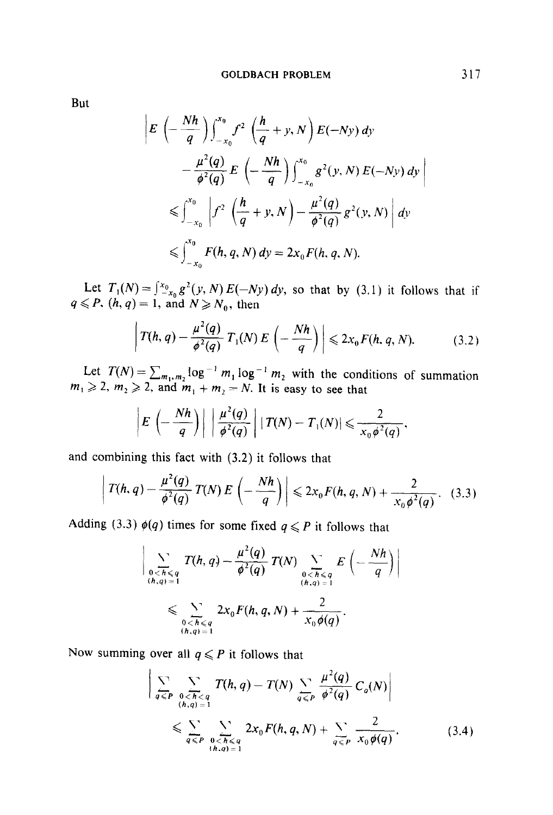But

$$
E\left(-\frac{Nh}{q}\right)\int_{-x_{0}}^{x_{0}} f^{2}\left(\frac{h}{q}+y, N\right) E(-Ny) dy
$$
  

$$
-\frac{\mu^{2}(q)}{\phi^{2}(q)} E\left(-\frac{Nh}{q}\right)\int_{-x_{0}}^{x_{0}} g^{2}(y, N) E(-Ny) dy
$$
  

$$
\leq \int_{-x_{0}}^{x_{0}} \left|f^{2}\left(\frac{h}{q}+y, N\right)-\frac{\mu^{2}(q)}{\phi^{2}(q)} g^{2}(y, N)\right| dy
$$
  

$$
\leq \int_{-x_{0}}^{x_{0}} F(h, q, N) dy = 2x_{0} F(h, q, N).
$$

Let  $T_1(N) = \int_{-\infty}^{\infty} g'(y, N) E(-Ny) dy$ , so that by (3.1) it follows that if  $q \leq P$ ,  $(h, q) = 1$ , and  $N \geq N_0$ , then

$$
\left| T(h,q) - \frac{\mu^2(q)}{\phi^2(q)} \, T_1(N) \, E\left(-\frac{Nh}{q}\right) \right| \leqslant 2x_0 F(h,q,N). \tag{3.2}
$$

Let  $T(N) = \sum_{m_1,m_2} \log^{-1} m_1 \log^{-1} m_2$  with the conditions of summation  $m_1 \geq 2$ ,  $m_2 \geq 2$ , and  $m_1 + m_2 = N$ . It is easy to see that

$$
\left|E\left(-\frac{Nh}{q}\right)\right|\left|\frac{\mu^2(q)}{\phi^2(q)}\right|\left|T(N)-T_1(N)\right|\leqslant\frac{2}{x_0\phi^2(q)},
$$

and combining this fact with (3.2) it follows that

$$
T(h, q) - \frac{\mu^2(q)}{\phi^2(q)} T(N) E\left(-\frac{Nh}{q}\right) \leq 2x_0 F(h, q, N) + \frac{2}{x_0 \phi^2(q)}.
$$
 (3.3)

Adding (3.3)  $\phi(q)$  times for some fixed  $q \leq P$  it follows that

$$
\left|\sum_{\substack{0  

$$
\leqslant \sum_{\substack{0
$$
$$

Now summing over all  $q \leq P$  it follows that

$$
\left| \sum_{q \leq P} \sum_{\substack{0 < h < q \\ (h,q) = 1}} T(h,q) - T(N) \sum_{q \leq P} \frac{\mu^2(q)}{\phi^2(q)} C_q(N) \right|
$$
\n
$$
\leqslant \sum_{q \leqslant P} \sum_{\substack{0 < h < q \\ (h,q) = 1}} 2x_0 F(h,q,N) + \sum_{q \leqslant P} \frac{2}{x_0 \phi(q)}.
$$
\n(3.4)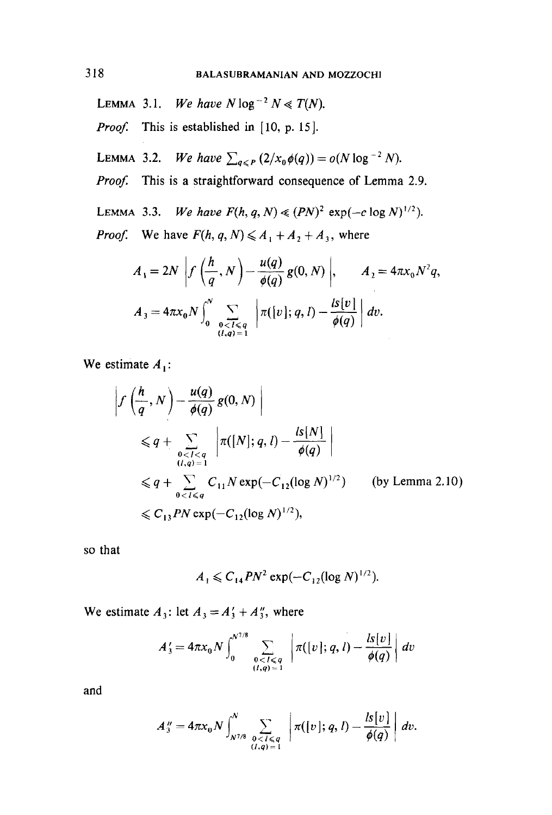- LEMMA 3.1. We have  $N \log^{-2} N \ll T(N)$ .
- *Proof.* This is established in  $[10, p. 15]$ .
- LEMMA 3.2. We have  $\sum_{q \leq P} (2/x_0 \phi(q)) = o(N \log^{-2} N)$ .
- Proof. This is a straightforward consequence of Lemma 2.9.
- LEMMA 3.3. We have  $F(h, q, N) \ll (PN)^2 \exp(-c \log N)^{1/2}$ .

*Proof.* We have  $F(h, q, N) \leq A_1 + A_2 + A_3$ , where

$$
A_1 = 2N \left| f\left(\frac{h}{q}, N\right) - \frac{u(q)}{\phi(q)} g(0, N) \right|, \qquad A_2 = 4\pi x_0 N^2 q,
$$
  

$$
A_3 = 4\pi x_0 N \int_0^N \sum_{\substack{0 < l < q \\ (l,q) = 1}} \left| \pi([v]; q, l) - \frac{l s[v]}{\phi(q)} \right| dv.
$$

We estimate  $A_1$ :

$$
\left| f\left(\frac{h}{q}, N\right) - \frac{u(q)}{\phi(q)} g(0, N) \right|
$$
  
\n
$$
\leq q + \sum_{\substack{0 < l < q \\ (l, q) = 1}} \left| \pi([N]; q, l) - \frac{l s[N]}{\phi(q)} \right|
$$
  
\n
$$
\leq q + \sum_{0 < l < q} C_{11} N \exp(-C_{12} (\log N)^{1/2}) \qquad \text{(by Lemma 2.10)}
$$
  
\n
$$
\leq C_{13} P N \exp(-C_{12} (\log N)^{1/2}),
$$

so that

$$
A_1 \leqslant C_{14} P N^2 \exp(-C_{12} (\log N)^{1/2}).
$$

We estimate  $A_3$ : let  $A_3 = A'_3 + A''_3$ , where

$$
A'_3 = 4\pi x_0 N \int_0^{N^{7/8}} \sum_{\substack{0 < l \le q \\ (l,q) = 1}} \left| \pi([v]; q, l) - \frac{l s[v]}{\phi(q)} \right| dv
$$

and

$$
A_{3}''=4\pi x_{0} N \int_{N^{7/8}}^{N} \sum_{\substack{0 < l \leq q \\ (l,q)=1}} \left| \pi([v]; q, l) - \frac{l s[v]}{\phi(q)} \right| dv.
$$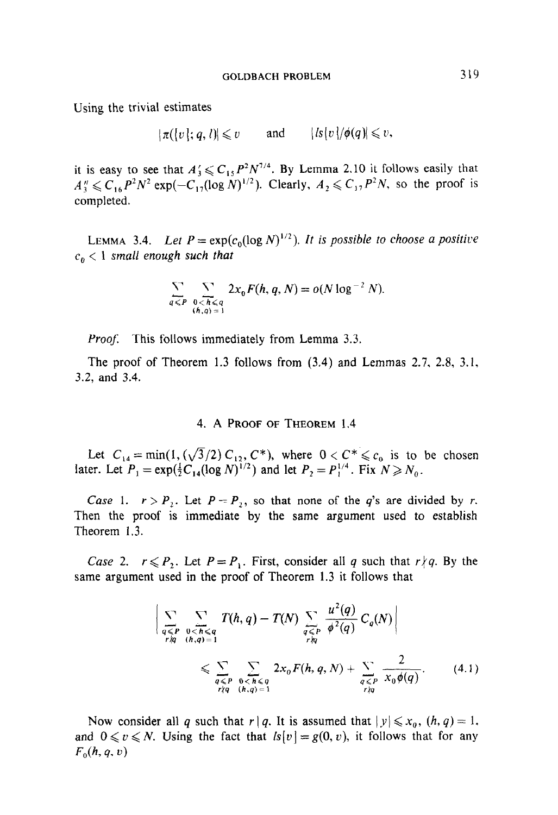Using the trivial estimates

$$
|\pi([v];q,l)| \leq v \quad \text{and} \quad |l s[v]/\phi(q)| \leq v,
$$

it is easy to see that  $A'_1 \n\leq C_1$ ,  $P^2N^{1/4}$ . By Lemma 2.10 it follows easily that  $A''_3 \leq C_{16} P^2 N^2 \exp(-C_{17} (\log N)^{1/2})$ . Clearly,  $A_2 \leq C_{17} P^2 N$ , so the proof is completed.

LEMMA 3.4. Let  $P = \exp(c_0(\log N)^{1/2})$ . It is possible to choose a positive  $c_n < 1$  small enough such that

$$
\sum_{q \leq P} \sum_{\substack{0 < h \leq q \\ (h, q) = 1}} 2x_0 F(h, q, N) = o(N \log^{-2} N).
$$

Proof. This follows immediately from Lemma 3.3.

The proof of Theorem 1.3 follows from (3.4) and Lemmas 2.7, 2.8, 3.1, 3.2, and 3.4.

#### 4. A PROOF OF THEOREM 1.4

 $L \left(0, \frac{1}{2} \right)$   $\left(1, \frac{\sqrt{2}}{2} \right)$   $\left(0, \frac{\sqrt{2}}{2} \right)$ Let  $C_{14} = \min\{1, (\sqrt{3}/2) C_{12}, C' \}$ , where  $0 \le C \le C_0$  is we

 $C_1$ , r r  $P$ ,  $P$ , so that none of the quantity results are divided by r. are divided by r. are divided by r. are divided by r. are divided by r. are divided by r. are divided by r. are divided by r. are divided by r. a  $\sum_{i=1}^n$   $\sum_{i=1}^n$   $\sum_{i=1}^n$   $\sum_{i=1}^n$  is the same argument used to establish used to establish the same argument used to establish the same argument used to establish the same argument used to establish the same Then the proof is immediate by the same argument used to establish Theorem 1.3.

 $C = \begin{bmatrix} 1 & 0 & 0 & 0 & 0 & 0 \\ 0 & 0 & 0 & 0 & 0 & 0 \\ 0 & 0 & 0 & 0 & 0 & 0 \\ 0 & 0 & 0 & 0 & 0 & 0 \\ 0 & 0 & 0 & 0 & 0 & 0 \\ 0 & 0 & 0 & 0 & 0 & 0 \\ 0 & 0 & 0 & 0 & 0 & 0 \\ 0 & 0 & 0 &$ Case 2.  $r \le r_2$ . Let  $r = r_1$ . First, consider an q such that

$$
\left| \sum_{\substack{q \leq P \\ r \nmid q}} \sum_{\substack{0 < h < q \\ (h,q) = 1}} T(h,q) - T(N) \sum_{\substack{q \leq P \\ r \nmid q}} \frac{u^2(q)}{\phi^2(q)} C_q(N) \right|
$$
\n
$$
\leq \sum_{\substack{q < P \\ r \nmid q}} \sum_{\substack{0 < h < q \\ (h,q) = 1}} 2x_0 F(h,q,N) + \sum_{\substack{q < P \\ r \nmid q}} \frac{2}{x_0 \phi(q)}.
$$
\n(4.1)

Now consider all q such that  $r/q$ . It is assumed that  $|y| \le x_0$ ,  $(n, q) = 1$ . and  $0 \le v \le N$ . Using the fact that  $ls[v] = g(0, v)$ , it follows that for any  $F_0(h, q, v)$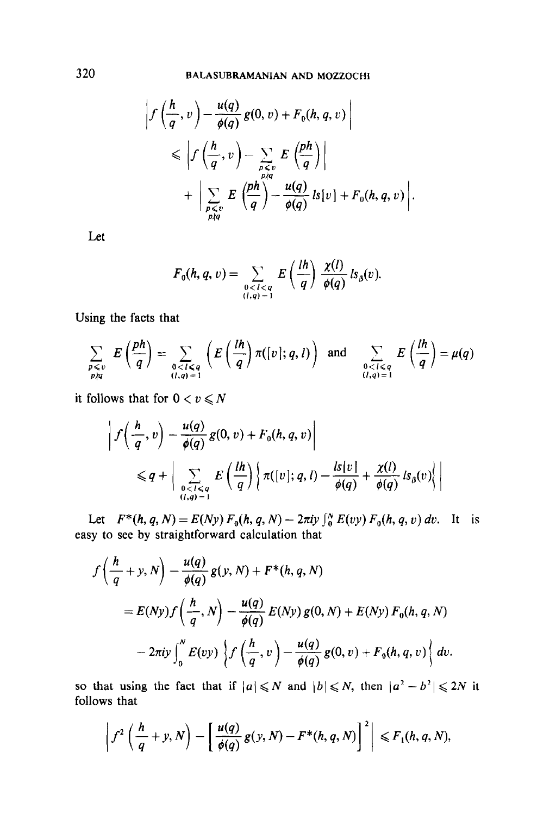$$
\left|f\left(\frac{h}{q}, v\right) - \frac{u(q)}{\phi(q)} g(0, v) + F_0(h, q, v)\right|
$$
  
\$\leq \left|f\left(\frac{h}{q}, v\right) - \sum\_{\substack{p \leq v \\ p \nmid q}} E\left(\frac{ph}{q}\right)\right|\$  
\$+ \left|\sum\_{\substack{p \leq v \\ p \nmid q}} E\left(\frac{ph}{q}\right) - \frac{u(q)}{\phi(q)} l s[v] + F\_0(h, q, v)\right|.

Let

$$
F_0(h,q,v)=\sum_{\substack{0
$$

Using the facts that

$$
\sum_{\substack{p \leq v \\ p \nmid q}} E\left(\frac{ph}{q}\right) = \sum_{\substack{0 < l \leq q \\ (l,q) = 1}} \left( E\left(\frac{lh}{q}\right) \pi([v]; q, l) \right) \text{ and } \sum_{\substack{0 < l \leq q \\ (l,q) = 1}} E\left(\frac{lh}{q}\right) = \mu(q)
$$

it follows that for  $0 < v \le N$ 

$$
\left| f\left(\frac{h}{q}, v\right) - \frac{u(q)}{\phi(q)} g(0, v) + F_0(h, q, v) \right|
$$
  
\$\leq q + \left| \sum\_{\substack{0 < l < q \\ (l, q) = 1}} E\left(\frac{lh}{q}\right) \left\{ \pi([v]; q, l) - \frac{ls[v]}{\phi(q)} + \frac{\chi(l)}{\phi(q)} \, ls\_\beta(v) \right\} \right|\$

Let  $F^*(h, q, N) = E(Ny) F_0(h, q, N) - 2\pi i y \int_0^N E(vy) F_0(h, q, v) dv$ . It is easy to see by straightforward calculation that

$$
f\left(\frac{h}{q}+y,N\right)-\frac{u(q)}{\phi(q)}g(y,N)+F^*(h,q,N)
$$
  
=  $E(Ny)f\left(\frac{h}{q},N\right)-\frac{u(q)}{\phi(q)}E(Ny)g(0,N)+E(Ny)F_0(h,q,N)$   

$$
-2\pi i y \int_0^N E(vy)\left\{f\left(\frac{h}{q},v\right)-\frac{u(q)}{\phi(q)}g(0,v)+F_0(h,q,v)\right\}dv.
$$

 $S_{\rm tot}$  that if  $\sigma$  is interesting that if I and lazare  $\sim$  $\frac{1}{2}$  that  $\frac{1}{2}$ 

$$
\left|f^2\left(\frac{h}{q}+y,N\right)-\left[\frac{u(q)}{\phi(q)}g(y,N)-F^*(h,q,N)\right]^2\right|\leq F_1(h,q,N),
$$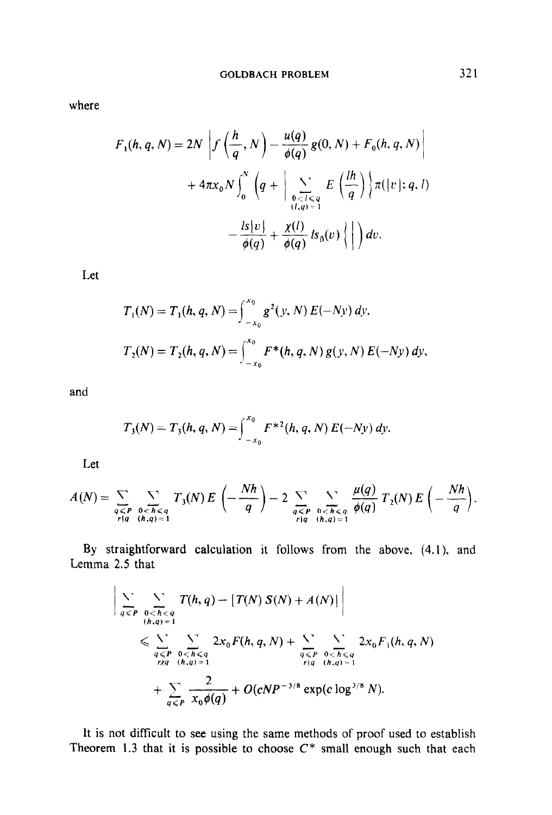where

$$
F_1(h, q, N) = 2N \left| f\left(\frac{h}{q}, N\right) - \frac{u(q)}{\phi(q)} g(0, N) + F_0(h, q, N) \right|
$$
  
+  $4\pi x_0 N \int_0^N \left( q + \left| \sum_{\substack{0 < l \leq q \\ (l, q) = 1}} E\left(\frac{lh}{q}\right) \right\} \pi(|v|; q, l) - \frac{l s[v]}{\phi(q)} + \frac{\chi(l)}{\phi(q)} l s_\beta(v) \left\{ \left| \right. \right) dv.$ 

Let

$$
T_1(N) = T_1(h, q, N) = \int_{-x_0}^{x_0} g^2(y, N) E(-Ny) dy,
$$
  

$$
T_2(N) = T_2(h, q, N) = \int_{-x_0}^{x_0} F^*(h, q, N) g(y, N) E(-Ny) dy,
$$

and

$$
T_3(N) = T_3(h, q, N) = \int_{-x_0}^{x_0} F^{*2}(h, q, N) E(-Ny) dy.
$$

Let

$$
A(N)=\sum_{\substack{q\leq P\\r|q}}\sum_{\substack{0
$$

By straightforward calculation it follows from the above, (4.1), and Lemma 2.5 that

$$
\left| \sum_{q \leq P} \sum_{\substack{0 < h < q \\ (h,q) = 1}} T(h,q) - \left[ T(N) S(N) + A(N) \right] \right|
$$
\n
$$
\leq \sum_{\substack{q < P \\ r \nmid q}} \sum_{\substack{0 < h \leq q \\ (h,q) = 1}} 2x_0 F(h,q,N) + \sum_{\substack{q < P \\ q \leq P}} \sum_{\substack{0 < h \leq q \\ (h,q) = 1}} 2x_0 F_1(h,q,N)
$$
\n
$$
+ \sum_{q < P} \frac{2}{x_0 \phi(q)} + O(cNP^{-3/8} \exp(c \log^{3/8} N)).
$$

It is not difficult to see using the same methods of proof used to establish Theorem 1.3 that it is possible to choose  $C^*$  small enough such that each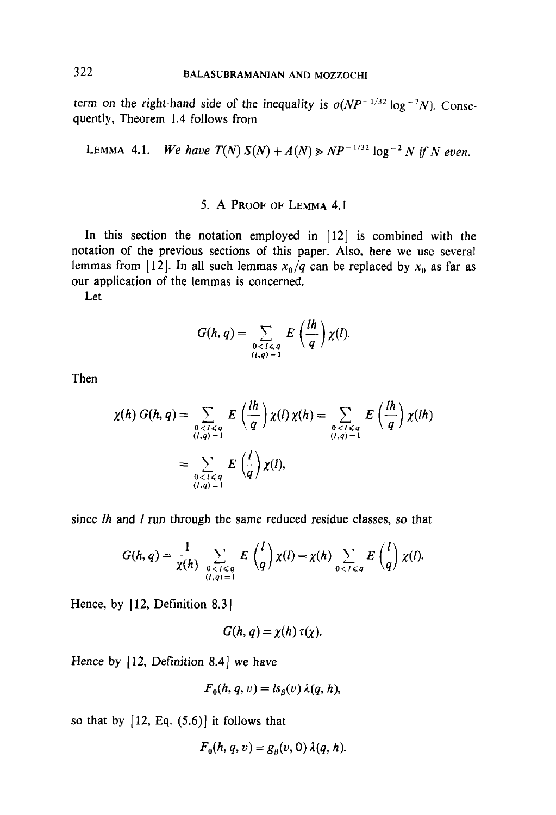term on the right-hand side of the inequality is  $o(NP^{-1/32} \log^{-2} N)$ . Consequently, Theorem 1.4 follows from

LEMMA 4.1. We have 
$$
T(N) S(N) + A(N) \ge NP^{-1/32} \log^{-2} N
$$
 if N even.

# 5. A PROOF OF LEMMA 4.1

In this section the notation employed in  $[12]$  is combined with the notation of the previous sections of this paper. Also, here we use several lemmas from [12]. In all such lemmas  $x_0/q$  can be replaced by  $x_0$  as far as our application of the lemmas is concerned.

Let

$$
G(h,q)=\sum_{\substack{0
$$

Then

$$
\chi(h) G(h,q) = \sum_{\substack{0 < l < q \\ (l,q) = 1}} E\left(\frac{lh}{q}\right) \chi(l) \chi(h) = \sum_{\substack{0 < l < q \\ (l,q) = 1}} E\left(\frac{lh}{q}\right) \chi(l) \chi(h)
$$
\n
$$
= \sum_{\substack{0 < l < q \\ (l,q) = 1}} E\left(\frac{l}{q}\right) \chi(l),
$$

since  $lh$  and  $l$  run through the same reduced residue classes, so that

$$
G(h,q)=\frac{1}{\chi(h)}\sum_{\substack{0
$$

Hence, by [12, Definition 8.3]

$$
G(h, q) = \chi(h) \tau(\chi).
$$

Hence by  $[12,$  Definition 8.4 we have

$$
F_0(h, q, v) = ls_0(v) \lambda(q, h),
$$

so that by  $[12, Eq. (5.6)]$  it follows that

$$
F_0(h,q,v) = g_\beta(v,0) \lambda(q,h).
$$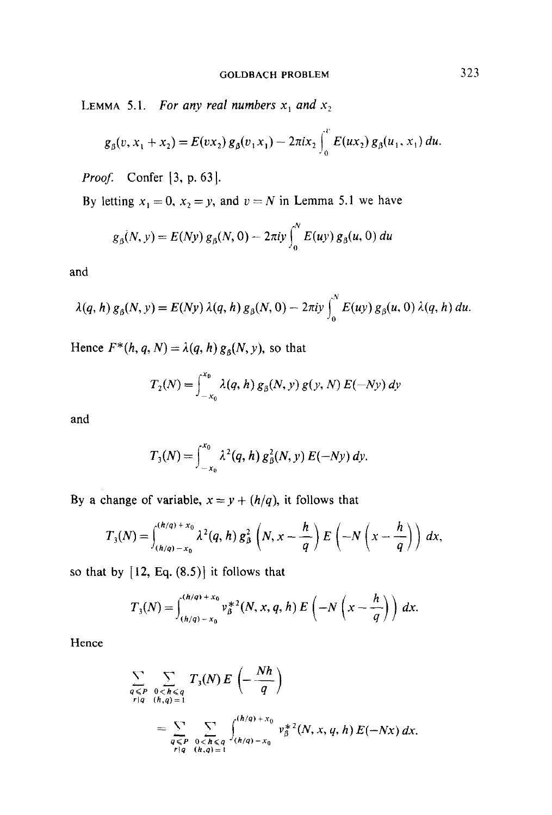LEMMA 5.1. For any real numbers  $x_1$  and  $x_2$ 

$$
g_{\beta}(v, x_1 + x_2) = E(v x_2) g_{\beta}(v_1 x_1) - 2\pi i x_2 \int_0^v E(ux_2) g_{\beta}(u_1, x_1) du.
$$

*Proof.* Confer  $\left[3, p. 63\right]$ .

By letting  $x_1 = 0$ ,  $x_2 = y$ , and  $v = N$  in Lemma 5.1 we have

$$
g_{\beta}(N, y) = E(Ny) g_{\beta}(N, 0) - 2\pi i y \int_0^N E(uy) g_{\beta}(u, 0) du
$$

and

$$
\lambda(q, h) g_{\beta}(N, y) = E(Ny) \lambda(q, h) g_{\beta}(N, 0) - 2\pi i y \int_0^N E(uy) g_{\beta}(u, 0) \lambda(q, h) du.
$$

Hence  $F^*(h, q, N) = \lambda(q, h) g_\beta(N, y)$ , so that

$$
T_2(N) = \int_{-x_0}^{x_0} \lambda(q, h) g_\beta(N, y) g(y, N) E(-Ny) dy
$$

and

$$
T_3(N) = \int_{-x_0}^{x_0} \lambda^2(q, h) g_\beta^2(N, y) E(-Ny) dy.
$$

By a change of variable,  $x = y + (h/q)$ , it follows that

$$
T_3(N)=\int_{(h/q)-x_0}^{(h/q)+x_0}\lambda^2(q,h)\,g_\beta^2\left(N,x-\frac{h}{q}\right)E\left(-N\left(x-\frac{h}{q}\right)\right)\,dx,
$$

so that by  $[12, Eq. (8.5)]$  it follows that

$$
T_3(N) = \int_{(h/q)-x_0}^{(h/q)+x_0} v_\beta^{*2}(N, x, q, h) E\left(-N\left(x-\frac{h}{q}\right)\right) dx.
$$

Hence

$$
\sum_{\substack{q \leq P \\ r|q}} \sum_{\substack{0 < h \leq q \\ (h,q) = 1}} T_3(N) E\left(-\frac{Nh}{q}\right)
$$
\n
$$
= \sum_{\substack{q \leq P \\ r|q}} \sum_{\substack{0 < h \leq q \\ (h,q) = 1}} \binom{(h/q) + x_0}{(h/q) - x_0} v_\beta^{*2}(N, x, q, h) E(-Nx) dx.
$$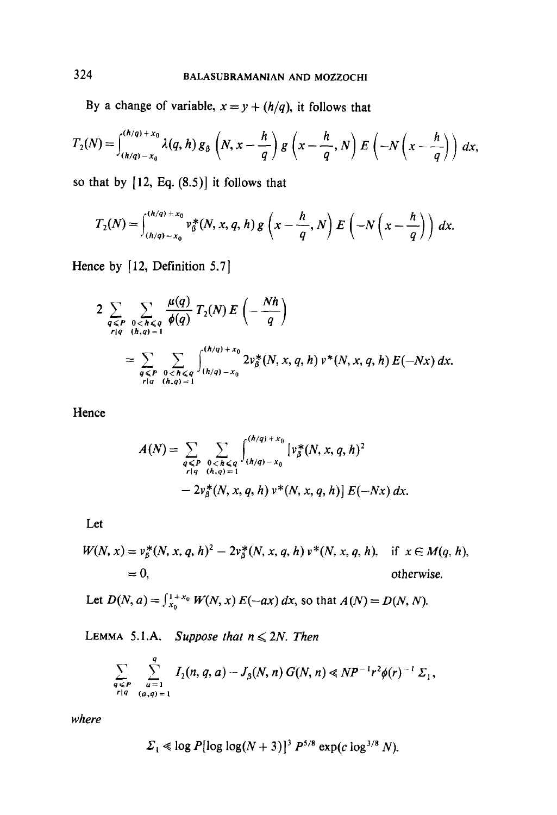By a change of variable,  $x = y + (h/q)$ , it follows that

$$
T_2(N) = \int_{(h/q)-x_0}^{(h/q)+x_0} \lambda(q,h) g_\beta\left(N,x-\frac{h}{q}\right) g\left(x-\frac{h}{q},N\right) E\left(-N\left(x-\frac{h}{q}\right)\right) dx,
$$

so that by  $[12, Eq. (8.5)]$  it follows that

$$
T_2(N)=\int_{(h/q)-x_0}^{(h/q)+x_0} v_\beta^*(N,x,q,h) g\left(x-\frac{h}{q},N\right) E\left(-N\left(x-\frac{h}{q}\right)\right) dx.
$$

Hence by [12, Definition 5.7]

$$
2 \sum_{\substack{q \leq P \\ r|q}} \sum_{\substack{0 < h \leq q \\ (h,q) = 1}} \frac{\mu(q)}{\phi(q)} T_2(N) E\left(-\frac{Nh}{q}\right)
$$
  
= 
$$
\sum_{\substack{q \leq P \\ r|q}} \sum_{\substack{0 < h \leq q \\ (h,q) = 1}} {n/q + x_0 \choose h/q - x_0} 2v_\beta^*(N, x, q, h) v^*(N, x, q, h) E(-Nx) dx.
$$

Hence

$$
A(N) = \sum_{\substack{q \leq P \\ r|q}} \sum_{\substack{0 < h \leq q \\ (h,q) = 1}} \int_{(h/q) - x_0}^{(h/q) + x_0} [v_\beta^*(N, x, q, h)^2
$$
  
- 2v\_\beta^\*(N, x, q, h) v^\*(N, x, q, h)]  $E(-Nx) dx$ .

Let

$$
W(N, x) = v_{\beta}^{*}(N, x, q, h)^{2} - 2v_{\beta}^{*}(N, x, q, h) v^{*}(N, x, q, h), \text{ if } x \in M(q, h),
$$
  
= 0, otherwise.

Let 
$$
D(N, a) = \int_{x_0}^{1+x_0} W(N, x) E(-ax) dx
$$
, so that  $A(N) = D(N, N)$ .

LEMMA 5.1.A. Suppose that  $n \leq 2N$ . Then

$$
\sum_{\substack{q \leq P \\ r|q}} \sum_{\substack{a=1 \\ (a,q)=1}}^{q} I_2(n, q, a) - J_3(N, n) G(N, n) \ll NP^{-1} r^2 \phi(r)^{-1} \Sigma_1,
$$

where

$$
\Sigma_1 \ll \log P[\log \log(N+3)]^3 P^{5/8} \exp(c \log^{3/8} N).
$$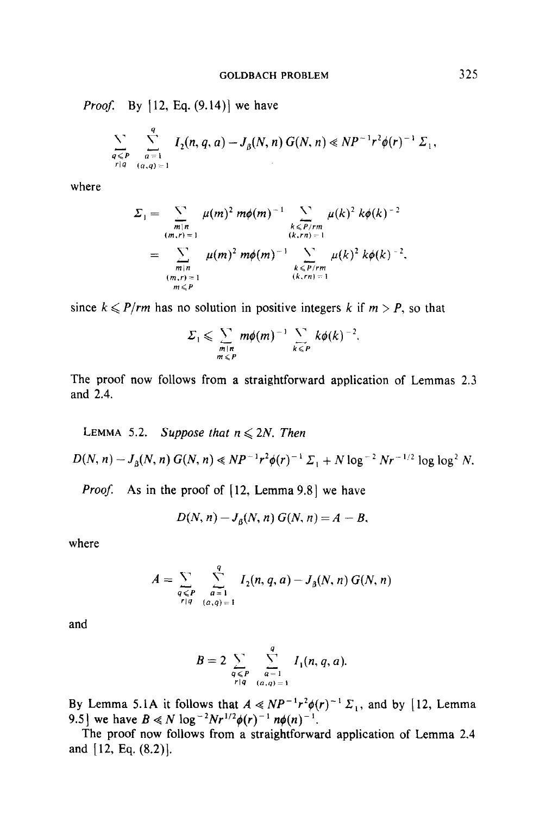*Proof.* By  $[12, Eq. (9.14)]$  we have

$$
\sum_{\substack{q \leq P \\ r|q}} \sum_{\substack{a=1 \\ (a,q)=1}}^{q} I_2(n,q,a) - J_{\beta}(N,n) G(N,n) \ll NP^{-1} r^2 \phi(r)^{-1} \Sigma_1,
$$

where

$$
\Sigma_1 = \sum_{\substack{m|n \ (m,r)=1}} \mu(m)^2 m\phi(m)^{-1} \sum_{\substack{k \leq P/rm \ (k,rn)=1}} \mu(k)^2 k\phi(k)^{-2}
$$
  
= 
$$
\sum_{\substack{m|n \ (m,r)=1}} \mu(m)^2 m\phi(m)^{-1} \sum_{\substack{k \leq P/rm \ (k,rn)=1}} \mu(k)^2 k\phi(k)^{-2},
$$

since  $k \leqslant P$ /*rm* has no solution in positive integers k if  $m > P$ , so that

$$
\Sigma_1 \leqslant \sum_{\substack{m \mid n \\ m \leqslant P}} m\phi(m)^{-1} \sum_{k \leqslant P} k\phi(k)^{-2}.
$$

The proof now follows from a straightforward application of Lemmas 2.3 and 2.4.

LEMMA 5.2. Suppose that  $n \leq 2N$ . Then  $D(N, n) - J_8(N, n) G(N, n) \ll NP^{-1}r^2\phi(r)^{-1} \Sigma_1 + N \log^{-2} Nr^{-1/2} \log \log^2 N.$ *Proof.* As in the proof of  $[12, \text{Lemma } 9.8]$  we have

$$
D(N, n) - J_n(N, n) G(N, n) = A - B,
$$

where

$$
A = \sum_{\substack{q \leq P \\ r|q}} \sum_{\substack{a=1 \\ (a,q)=1}}^{q} I_2(n,q,a) - J_3(N,n) G(N,n)
$$

and

$$
B=2\sum_{\substack{q\leq P\\r|q}}\sum_{\substack{a=1\\(a,q)=1}}^q I_1(n,q,a).
$$

By Lemma 5.1A it follows that  $A \ll NP^{-1}r^2\phi(r)^{-1}\Sigma_1$ , and by [12, Lemma 9.5] we have  $B \ll N \log^{-2} N r^{1/2} \phi(r)^{-1} n \phi(n)^{-1}$ .

The proof now follows from a straightforward application of Lemma 2.4 and [12, Eq. (8.2)).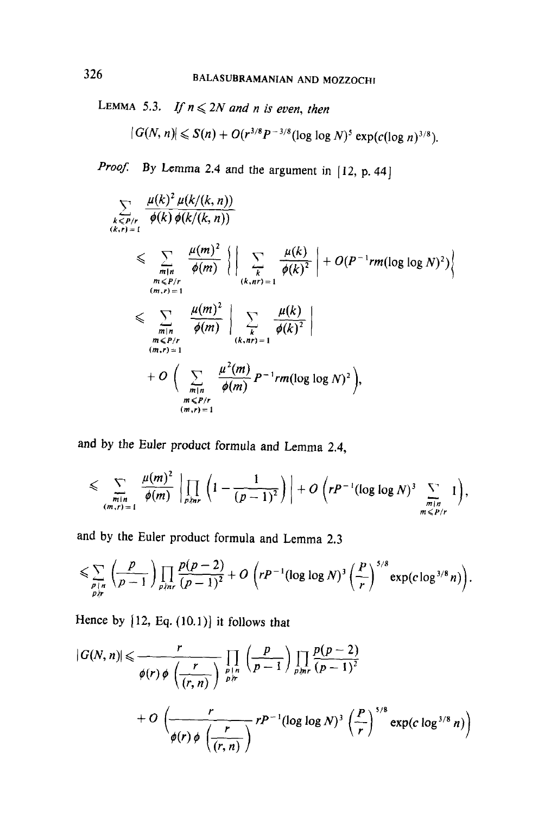LEMMA 5.3. If  $n \leq 2N$  and n is even, then

$$
|G(N, n)| \leqslant S(n) + O(r^{3/8} P^{-3/8} (\log \log N)^5 \exp(c(\log n)^{3/8}).
$$

*Proof.* By Lemma 2.4 and the argument in  $[12, p. 44]$ 

$$
\sum_{\substack{k \leq P/r \\ (k,r)=1}} \frac{\mu(k)^2 \mu(k/(k,n))}{\phi(k) \phi(k/(k,n))}
$$
\n
$$
\leqslant \sum_{\substack{m|n \\ (m,r)=1}} \frac{\mu(m)^2}{\phi(m)} \left\{ \left| \sum_{\substack{k \\ (k,nr)=1}} \frac{\mu(k)}{\phi(k)^2} \right| + O(P^{-1}rm(\log \log N)^2) \right\}
$$
\n
$$
\leqslant \sum_{\substack{m|n \\ (m,r)=1}} \frac{\mu(m)^2}{\phi(m)} \left| \sum_{\substack{k \\ (k,nr)=1}} \frac{\mu(k)}{\phi(k)^2} \right|
$$
\n
$$
+ O\left(\sum_{\substack{m|n \\ (m,r)=1}} \frac{\mu^2(m)}{\phi(m)} P^{-1}rm(\log \log N)^2 \right),
$$

and by the Euler product formula and Lemma 2.4,

$$
\leqslant \sum_{\substack{m|n \ (m,r)=1}} \frac{\mu(m)^2}{\phi(m)} \left| \prod_{p\nmid nr} \left(1-\frac{1}{(p-1)^2}\right) \right| + O\left(rP^{-1}(\log\log N)^3 \sum_{\substack{m|n \ (m\leqslant P/r)}} 1\right),
$$

and by the Euler product formula and Lemma 2.3

$$
\leqslant \sum_{\substack{p \mid n \\ p \nmid r}} \left( \frac{p}{p-1} \right) \prod_{p \nmid nr} \frac{p(p-2)}{(p-1)^2} + O\left( r p^{-1} (\log \log N)^3 \left( \frac{p}{r} \right)^{5/8} \exp(c \log^{3/8} n) \right).
$$

Hence by  $[12, Eq. (10.1)]$  it follows that

$$
|G(N, n)| \leq \frac{r}{\phi(r) \phi\left(\frac{r}{(r, n)}\right)} \prod_{\substack{p \mid n \\ p \nmid r}} \left(\frac{p}{p - 1}\right) \prod_{p \nmid n} \frac{p(p - 2)}{(p - 1)^2}
$$
  
+  $O\left(\frac{r}{\phi(r) \phi\left(\frac{r}{(r, n)}\right)} r P^{-1} (\log \log N)^3 \left(\frac{P}{r}\right)^{5/8} \exp(c \log^{3/8} n)\right)$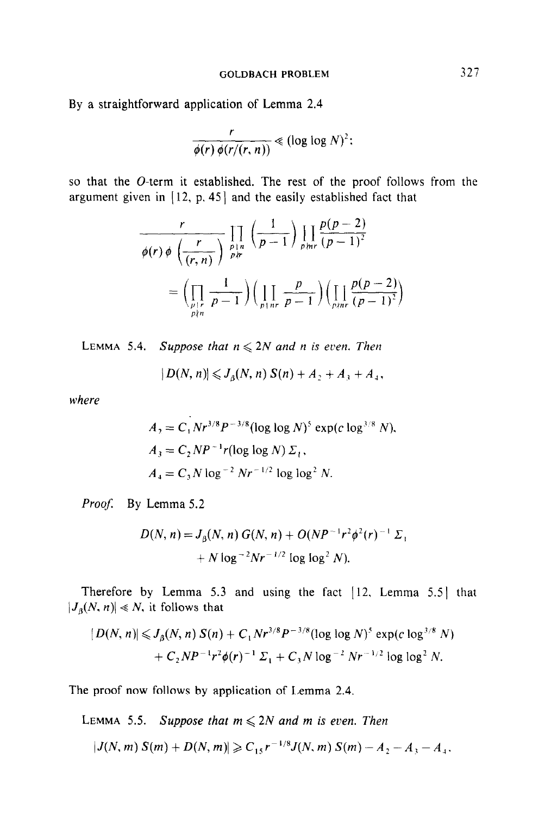By a straightforward application of Lemma 2.4

$$
\frac{r}{\phi(r)\,\phi(r/(r,n))}\ll (\log\log N)^2;
$$

so that the O-term it established. The rest of the proof follows from the argument given in [ 12, p. 45) and the easily established fact that

$$
\frac{r}{\phi(r)\phi\left(\frac{r}{(r,n)}\right)}\prod_{\substack{p|n \ p\nmid r}}\left(\frac{1}{p-1}\right)\prod_{p|n} \frac{p(p-2)}{(p-1)^2}
$$
\n
$$
=\left(\prod_{\substack{p|r \ p\nmid n}}\frac{1}{p-1}\right)\left(\prod_{\substack{p|n \ p-1}}\frac{p}{p-1}\right)\left(\prod_{\substack{p|n \ p-1}}\frac{p(p-2)}{(p-1)^2}\right)
$$

LEMMA 5.4. Suppose that  $n \leqslant 2N$  and n is even. Then

 $|D(N, n)| \leqslant J_n(N, n) S(n) + A_1 + A_3 + A_4,$ 

where

$$
A_2 = C_1 N r^{3/8} P^{-3/8} (\log \log N)^5 \exp(c \log^{3/8} N),
$$
  
\n
$$
A_3 = C_2 N P^{-1} r (\log \log N) \Sigma_1,
$$
  
\n
$$
A_4 = C_3 N \log^{-2} N r^{-1/2} \log \log^2 N.
$$

Proof: By Lemma 5.2

$$
D(N, n) = J_{\beta}(N, n) G(N, n) + O(NP^{-1}r^{2}\phi^{2}(r)^{-1} \Sigma_{1}
$$
  
+  $N \log^{-2} Nr^{-1/2} \log \log^{2} N$ ).

Therefore by Lemma 5.3 and using the fact [12. Lemma 5.5] that  $|J_{\beta}(N, n)| \ll N$ , it follows that

$$
|D(N, n)| \leqslant J_{\beta}(N, n) S(n) + C_1 N r^{3/8} P^{-3/8} (\log \log N)^5 \exp(c \log^{3/8} N) + C_2 N P^{-1} r^2 \phi(r)^{-1} \Sigma_1 + C_3 N \log^{-2} N r^{-1/2} \log \log^2 N.
$$

The proof now follows by application of Lemma 2.4.

LEMMA 5.5. Suppose that  $m \leqslant 2N$  and m is even. Then

 $|J(N,m)S(m)+D(N,m)|\geqslant C_{15}r^{-1/8}J(N,m)S(m)-A_2-A_3-A_4.$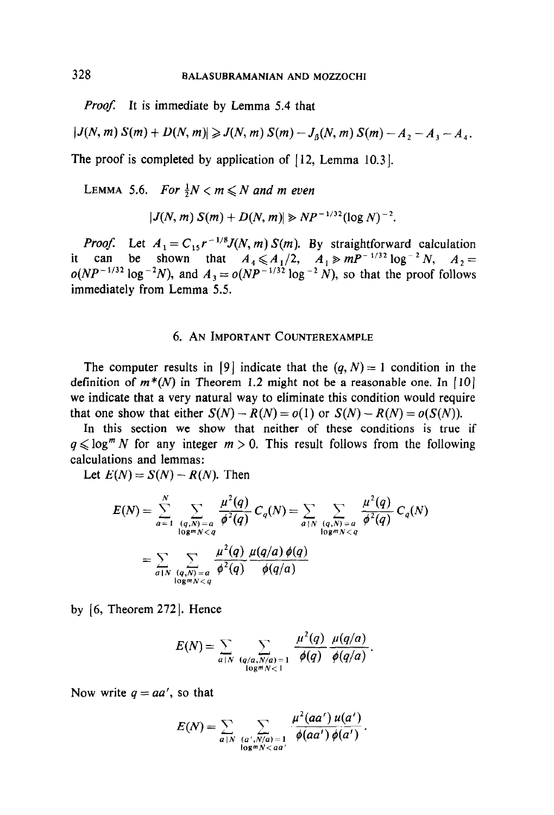*Proof.* It is immediate by Lemma 5.4 that

$$
|J(N, m) S(m) + D(N, m)| \geqslant J(N, m) S(m) - J_{\beta}(N, m) S(m) - A_2 - A_3 - A_4.
$$

The proof is completed by application of [12, Lemma 10.3].

LEMMA 5.6. For  $\frac{1}{2}N < m \le N$  and m even

$$
|J(N, m) S(m) + D(N, m)| \ge NP^{-1/32} (\log N)^{-2}.
$$

*Proof.* Let  $A_i = C_{i} r^{-1/8} J(N, m) S(m)$ . By straightforward calculation it can be shown that  $A_1 \leq A_1/2$ ,  $A_2 \geq mP^{-1/32} \log^{-2} N$ ,  $A_2 =$  $o(NP^{-1/32} \log^{-2} N)$ , and  $A_3 = o(NP^{-1/32} \log^{-2} N)$ , so that the proof follows immediately from Lemma 5.5.

### 6. AN IMPORTANT COUNTEREXAMPLE

The computer results in [9] indicate that the  $(q, N) = 1$  condition in the definition of  $m^*(N)$  in Theorem 1.2 might not be a reasonable one. In [10] we indicate that a very natural way to eliminate this condition would require that one show that either  $S(N) - R(N) = o(1)$  or  $S(N) - R(N) = o(S(N))$ .

In this section we show that neither of these conditions is true if  $q \leq \log^{m} N$  for any integer  $m > 0$ . This result follows from the following calculations and lemmas:

Let  $E(N) = S(N) - R(N)$ . Then

$$
E(N) = \sum_{a=1}^{N} \sum_{\substack{(q,N)=a \ (q,N)
$$
= \sum_{a|N} \sum_{\substack{(q,N)=a \ (q,N)
$$
$$

by  $[6,$  Theorem 272 $]$ . Hence

$$
E(N)=\sum_{a|N}\sum_{\substack{(q/a,N/a)=1\\log^mN<1}}\frac{\mu^2(q)}{\phi(q)}\frac{\mu(q/a)}{\phi(q/a)}.
$$

Now write  $q = aa'$ , so that

$$
E(N)=\sum_{a\mid N}\sum_{\substack{(a',N/a)=1\\ \log mN
$$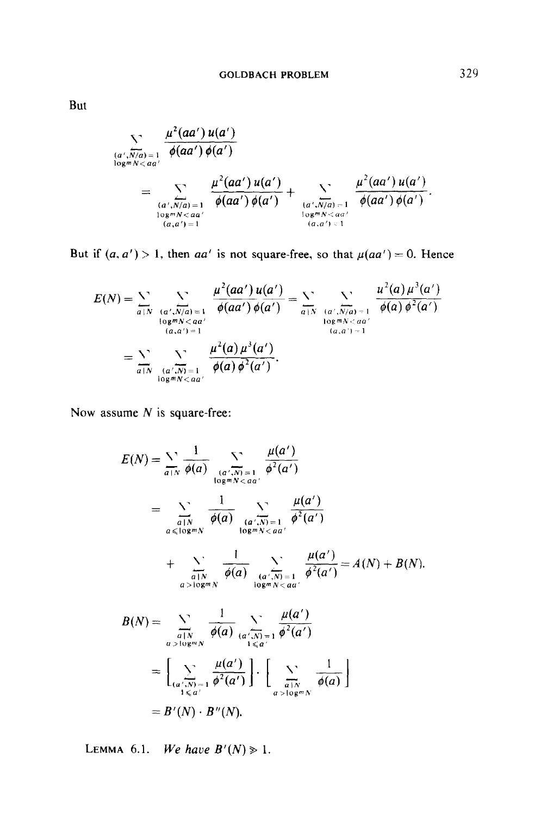$$
\sum_{\substack{(a',N/a)=1 \ (a',N/a)=1}} \frac{\mu^2(aa') u(a')}{\phi(aa') \phi(a')}
$$
  
= 
$$
\sum_{\substack{(a',N/a)=1 \ (a,g')=1}} \frac{\mu^2(aa') u(a')}{\phi(aa') \phi(a')} + \sum_{\substack{(a',N/a)=1 \ (a,g')=1}} \frac{\mu^2(aa') u(a')}{\phi(aa') \phi(a')}.
$$

But if  $(a, a') > 1$ , then aa' is not square-free, so that  $\mu(aa') = 0$ . Hence

$$
E(N) = \sum_{a \mid N} \sum_{\substack{(a',N/a)=1 \ (a,a')=1}} \frac{\mu^2(aa') u(a')}{\phi(aa') \phi(a')} = \sum_{a \mid N} \sum_{\substack{(a',N/a)=1 \ (a,a')=1}} \frac{\mu^2(a) \mu^3(a')}{\phi(a) \phi^2(a')}
$$
  

$$
= \sum_{a \mid N} \sum_{\substack{(a',N)=1 \ (a',N)=1}} \frac{\mu^2(a) \mu^3(a')}{\phi(a) \phi^2(a')}.
$$

Now assume  $N$  is square-free:

$$
E(N) = \sum_{a|N} \frac{1}{\phi(a)} \sum_{\substack{(a',N) = 1 \ a \text{log}m \land a \text{log}n' \text{log}n' \text{log}n' \text{log}n' \text{log}n' \text{log}n' \text{log}n' \text{log}n' \text{log}n' \text{log}n' \text{log}n' \text{log}n' \text{log}n' \text{log}n' \text{log}n' \text{log}n' \text{log}n' \text{log}n' \text{log}n' \text{log}n' \text{log}n' \text{log}n' \text{log}n' \text{log}n' \text{log}n' \text{log}n' \text{log}n' \text{log}n' \text{log}n' \text{log}n' \text{log}n' \text{log}n' \text{log}n' \text{log}n' \text{log}n' \text{log}n' \text{log}n' \text{log}n' \text{log}n' \text{log}n' \text{log}n' \text{log}n' \text{log}n' \text{log}n' \text{log}n' \text{log}n' \text{log}n' \text{log}n' \text{log}n' \text{log}n' \text{log}n' \text{log}n' \text{log}n' \text{log}n' \text{log}n' \text{log}n' \text{log}n' \text{log}n' \text{log}n' \text{log}n' \text{log}n' \text{log}n' \text{log}n' \text{log}n' \text{log}n' \text{log}n' \text{log}n' \text{log}n' \text{log}n' \text{log}n' \text{log}n' \text{log}n' \text{log}n' \text{log}n' \text{log}n' \text{log}n' \text{log}n' \text{log}n' \text{log}n' \text{log}n' \text{log}n' \text{log}n' \text{log}n' \text{log}n' \text{log}n' \text{log}n' \text{log}n' \text{log}n' \text{log}n' \text{log}n' \text{log}n' \text{log}n' \text{log}n' \text{log}n' \text{log}n' \text{log}n' \text{log}n' \text{log}n' \text{log}n' \text{log}n' \text{log}n' \text{log}n'
$$

LEMMA 6.1. We have  $B'(N) \geq 1$ .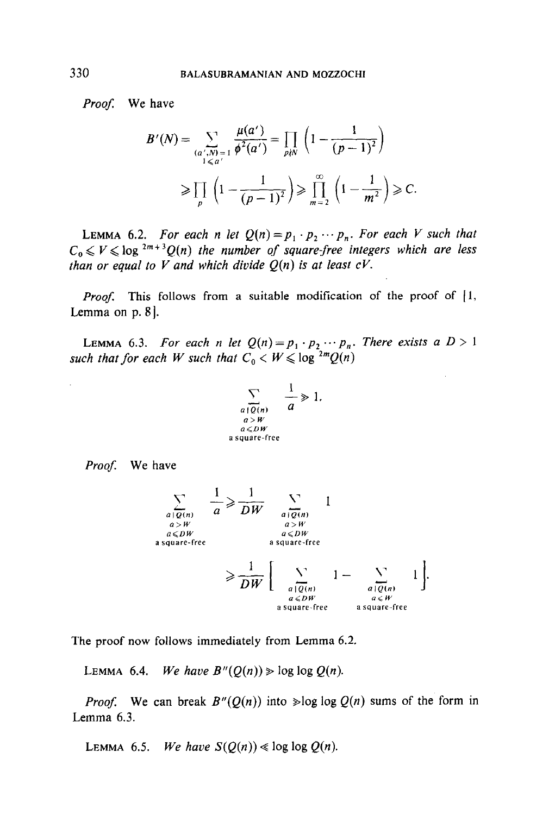Proof: We have

$$
B'(N) = \sum_{\substack{(a',N)=1 \ a' \le a' }} \frac{\mu(a')}{\phi^2(a')} = \prod_{p \nmid N} \left(1 - \frac{1}{(p-1)^2}\right)
$$
  

$$
\ge \prod_p \left(1 - \frac{1}{(p-1)^2}\right) \ge \prod_{m=2}^{\infty} \left(1 - \frac{1}{m^2}\right) \ge C.
$$

LEMMA 6.2. For each n let  $Q(n) = p_1 \cdot p_2 \cdots p_n$ . For each V such that  $C_0 \leq V \leq \log^{2m+3}Q(n)$  the number of square-free integers which are less than or equal to V and which divide  $Q(n)$  is at least  $cV$ .

*Proof.* This follows from a suitable modification of the proof of  $\vert 1$ , Lemma on  $p. 8$ ].

LEMMA 6.3. For each n let  $Q(n) = p_1 \cdot p_2 \cdots p_n$ . There exists a  $D > 1$ such that for each W such that  $C_0 < W \leq \log^{2m} Q(n)$ 

$$
\sum_{\substack{a \mid Q(n) \\ a > W \\ a \leq DW \\ a \text{ square-free}}} \frac{1}{a} \geq 1.
$$

Proof. We have



The proof now follows immediately from Lemma 6.2.

LEMMA 6.4. We have  $B''(Q(n)) \geq \log \log Q(n)$ .

*Proof.* We can break  $B''(Q(n))$  into  $\geq \log \log Q(n)$  sums of the form in Lemma 6.3.

LEMMA 6.5. We have  $S(Q(n)) \ll \log \log Q(n)$ .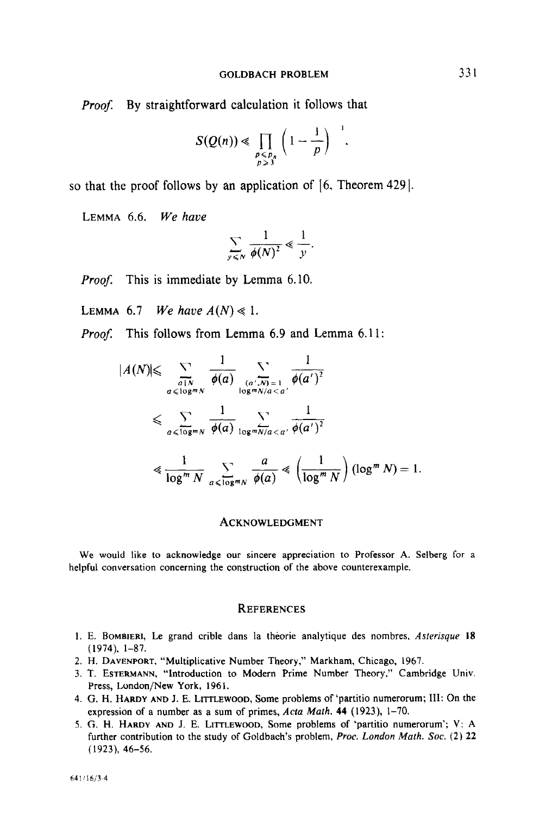Proof. By straightforward calculation it follows that

$$
S(Q(n))\ll \prod_{\substack{p\leqslant p_n\\p\geqslant 3}}\left(1-\frac{1}{p}\right)^{-1}.
$$

so that the proof follows by an application of  $[6,$  Theorem 429 $]$ .

LEMMA 6.6. We have

$$
\sum_{y \leq N} \frac{1}{\phi(N)^2} \leq \frac{1}{y}.
$$

Proof. This is immediate by Lemma 6.10.

LEMMA 6.7 We have  $A(N) \ll 1$ .

Proof. This follows from Lemma 6.9 and Lemma 6.11:

$$
|A(N)| \leq \sum_{\substack{a \mid N \\ a \leq \log^m N}} \frac{1}{\phi(a)} \sum_{\substack{(a',N) = 1 \\ \log^m N/a < a' \\ a \leq \log^m N}} \frac{1}{\phi(a')} \leq \sum_{\substack{a \leq \log^m N \\ a \leq \log^m N/a < a' \\ a \neq a \pmod{N}}} \frac{1}{\phi(a')^2}
$$
\n
$$
\leq \frac{1}{\log^m N} \sum_{\substack{a \leq \log^m N \\ a \leq \log^m N}} \frac{a}{\phi(a)} \leq \left(\frac{1}{\log^m N}\right) (\log^m N) = 1.
$$

#### ACKNOWLEDGMENT

We would like to acknowledge our sincere appreciation to Professor A. Selberg for a helpful conversation concerning the construction of the above counterexample.

#### **REFERENCES**

- 1. E. BOMBIERI, Le grand crible dans la théorie analytique des nombres, Asterisque 18 (1974). l-87.
- 2. H. DAVENPORT, "Multiplicative Number Theory," Markham, Chicago, 1967.
- 3. T. ESTERMANN, "Introduction to Modern Prime Number Theory," Cambridge Univ. Press, London/New York, 1961.
- 4. G. H. HARDY AND J. E. LITTLEWOOD, Some problems of 'partitio numerorum; III: On the expression of a number as a sum of primes,  $Acta Math. 44$  (1923), 1-70.
- 5. G. H. HARDY AND J. E. LITTLEWOOD, Some problems of 'partitio numerorum'; V: A further contribution to the study of Goldbach's problem, Proc. London Math. Soc. (2) 22 (1923), 46-56.